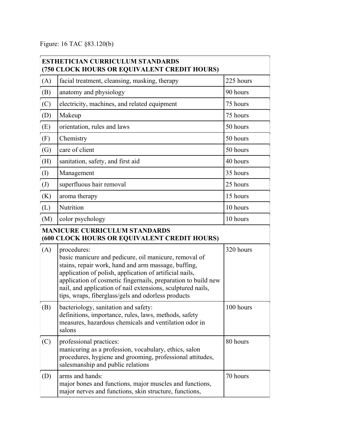Figure: 16 TAC §83.120(b)

| <b>ESTHETICIAN CURRICULUM STANDARDS</b><br>(750 CLOCK HOURS OR EQUIVALENT CREDIT HOURS)     |                                                                                                                                                                                                                                                                                                                                                                              |           |  |  |
|---------------------------------------------------------------------------------------------|------------------------------------------------------------------------------------------------------------------------------------------------------------------------------------------------------------------------------------------------------------------------------------------------------------------------------------------------------------------------------|-----------|--|--|
| (A)                                                                                         | facial treatment, cleansing, masking, therapy                                                                                                                                                                                                                                                                                                                                | 225 hours |  |  |
| (B)                                                                                         | anatomy and physiology                                                                                                                                                                                                                                                                                                                                                       | 90 hours  |  |  |
| (C)                                                                                         | electricity, machines, and related equipment                                                                                                                                                                                                                                                                                                                                 | 75 hours  |  |  |
| (D)                                                                                         | Makeup                                                                                                                                                                                                                                                                                                                                                                       | 75 hours  |  |  |
| (E)                                                                                         | orientation, rules and laws                                                                                                                                                                                                                                                                                                                                                  | 50 hours  |  |  |
| (F)                                                                                         | Chemistry                                                                                                                                                                                                                                                                                                                                                                    | 50 hours  |  |  |
| (G)                                                                                         | care of client                                                                                                                                                                                                                                                                                                                                                               | 50 hours  |  |  |
| (H)                                                                                         | sanitation, safety, and first aid                                                                                                                                                                                                                                                                                                                                            | 40 hours  |  |  |
| $\left( \mathrm{I}\right)$                                                                  | Management                                                                                                                                                                                                                                                                                                                                                                   | 35 hours  |  |  |
| $\left( J\right)$                                                                           | superfluous hair removal                                                                                                                                                                                                                                                                                                                                                     | 25 hours  |  |  |
| (K)                                                                                         | aroma therapy                                                                                                                                                                                                                                                                                                                                                                | 15 hours  |  |  |
| (L)                                                                                         | Nutrition                                                                                                                                                                                                                                                                                                                                                                    | 10 hours  |  |  |
| (M)                                                                                         | color psychology                                                                                                                                                                                                                                                                                                                                                             | 10 hours  |  |  |
| <b>MANICURE CURRICULUM STANDARDS</b><br><b>(600 CLOCK HOURS OR EQUIVALENT CREDIT HOURS)</b> |                                                                                                                                                                                                                                                                                                                                                                              |           |  |  |
| (A)                                                                                         | procedures:<br>basic manicure and pedicure, oil manicure, removal of<br>stains, repair work, hand and arm massage, buffing,<br>application of polish, application of artificial nails,<br>application of cosmetic fingernails, preparation to build new<br>nail, and application of nail extensions, sculptured nails,<br>tips, wraps, fiberglass/gels and odorless products | 320 hours |  |  |
| (B)                                                                                         | bacteriology, sanitation and safety:<br>definitions, importance, rules, laws, methods, safety<br>measures, hazardous chemicals and ventilation odor in<br>salons                                                                                                                                                                                                             | 100 hours |  |  |
| (C)                                                                                         | professional practices:<br>manicuring as a profession, vocabulary, ethics, salon<br>procedures, hygiene and grooming, professional attitudes,<br>salesmanship and public relations                                                                                                                                                                                           | 80 hours  |  |  |
| (D)                                                                                         | arms and hands:<br>major bones and functions, major muscles and functions,<br>major nerves and functions, skin structure, functions,                                                                                                                                                                                                                                         | 70 hours  |  |  |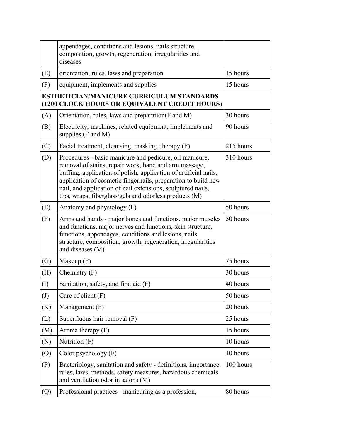|                                                                                            | appendages, conditions and lesions, nails structure,<br>composition, growth, regeneration, irregularities and<br>diseases                                                                                                                                                                                                                                                      |           |  |  |
|--------------------------------------------------------------------------------------------|--------------------------------------------------------------------------------------------------------------------------------------------------------------------------------------------------------------------------------------------------------------------------------------------------------------------------------------------------------------------------------|-----------|--|--|
| (E)                                                                                        | orientation, rules, laws and preparation                                                                                                                                                                                                                                                                                                                                       | 15 hours  |  |  |
| (F)                                                                                        | equipment, implements and supplies                                                                                                                                                                                                                                                                                                                                             | 15 hours  |  |  |
| ESTHETICIAN/MANICURE CURRICULUM STANDARDS<br>(1200 CLOCK HOURS OR EQUIVALENT CREDIT HOURS) |                                                                                                                                                                                                                                                                                                                                                                                |           |  |  |
| (A)                                                                                        | Orientation, rules, laws and preparation(F and M)                                                                                                                                                                                                                                                                                                                              | 30 hours  |  |  |
| (B)                                                                                        | Electricity, machines, related equipment, implements and<br>supplies $(F$ and $M)$                                                                                                                                                                                                                                                                                             | 90 hours  |  |  |
| (C)                                                                                        | Facial treatment, cleansing, masking, therapy (F)                                                                                                                                                                                                                                                                                                                              | 215 hours |  |  |
| (D)                                                                                        | Procedures - basic manicure and pedicure, oil manicure,<br>removal of stains, repair work, hand and arm massage,<br>buffing, application of polish, application of artificial nails,<br>application of cosmetic fingernails, preparation to build new<br>nail, and application of nail extensions, sculptured nails,<br>tips, wraps, fiberglass/gels and odorless products (M) | 310 hours |  |  |
| (E)                                                                                        | Anatomy and physiology (F)                                                                                                                                                                                                                                                                                                                                                     | 50 hours  |  |  |
| (F)                                                                                        | Arms and hands - major bones and functions, major muscles<br>and functions, major nerves and functions, skin structure,<br>functions, appendages, conditions and lesions, nails<br>structure, composition, growth, regeneration, irregularities<br>and diseases (M)                                                                                                            | 50 hours  |  |  |
| $\left( G\right)$                                                                          | Makeup $(F)$                                                                                                                                                                                                                                                                                                                                                                   | 75 hours  |  |  |
| (H)                                                                                        | Chemistry $(F)$                                                                                                                                                                                                                                                                                                                                                                | 30 hours  |  |  |
| $\rm (I)$                                                                                  | Sanitation, safety, and first aid (F)                                                                                                                                                                                                                                                                                                                                          | 40 hours  |  |  |
| $\left( \mathrm{J}\right)$                                                                 | Care of client $(F)$                                                                                                                                                                                                                                                                                                                                                           | 50 hours  |  |  |
| (K)                                                                                        | Management $(F)$                                                                                                                                                                                                                                                                                                                                                               | 20 hours  |  |  |
| (L)                                                                                        | Superfluous hair removal (F)                                                                                                                                                                                                                                                                                                                                                   | 25 hours  |  |  |
| (M)                                                                                        | Aroma therapy $(F)$                                                                                                                                                                                                                                                                                                                                                            | 15 hours  |  |  |
| $(\mathbf{N})$                                                                             | Nutrition (F)                                                                                                                                                                                                                                                                                                                                                                  | 10 hours  |  |  |
| (0)                                                                                        | Color psychology $(F)$                                                                                                                                                                                                                                                                                                                                                         | 10 hours  |  |  |
| (P)                                                                                        | Bacteriology, sanitation and safety - definitions, importance,<br>rules, laws, methods, safety measures, hazardous chemicals<br>and ventilation odor in salons (M)                                                                                                                                                                                                             | 100 hours |  |  |
| (Q)                                                                                        | Professional practices - manicuring as a profession,                                                                                                                                                                                                                                                                                                                           | 80 hours  |  |  |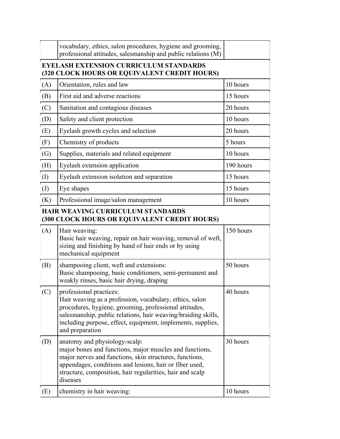|                                                                                                      | vocabulary, ethics, salon procedures, hygiene and grooming,<br>professional attitudes, salesmanship and public relations (M)                                                                                                                                                                    |           |  |  |
|------------------------------------------------------------------------------------------------------|-------------------------------------------------------------------------------------------------------------------------------------------------------------------------------------------------------------------------------------------------------------------------------------------------|-----------|--|--|
| <b>EYELASH EXTENSION CURRICULUM STANDARDS</b><br><b>(320 CLOCK HOURS OR EQUIVALENT CREDIT HOURS)</b> |                                                                                                                                                                                                                                                                                                 |           |  |  |
| (A)                                                                                                  | Orientation, rules and law                                                                                                                                                                                                                                                                      | 10 hours  |  |  |
| (B)                                                                                                  | First aid and adverse reactions                                                                                                                                                                                                                                                                 | 15 hours  |  |  |
| (C)                                                                                                  | Sanitation and contagious diseases                                                                                                                                                                                                                                                              | 20 hours  |  |  |
| (D)                                                                                                  | Safety and client protection                                                                                                                                                                                                                                                                    | 10 hours  |  |  |
| (E)                                                                                                  | Eyelash growth cycles and selection                                                                                                                                                                                                                                                             | 20 hours  |  |  |
| (F)                                                                                                  | Chemistry of products                                                                                                                                                                                                                                                                           | 5 hours   |  |  |
| $\left( G\right)$                                                                                    | Supplies, materials and related equipment                                                                                                                                                                                                                                                       | 10 hours  |  |  |
| (H)                                                                                                  | Eyelash extension application                                                                                                                                                                                                                                                                   | 190 hours |  |  |
| $\left( \mathrm{I}\right)$                                                                           | Eyelash extension isolation and separation                                                                                                                                                                                                                                                      | 15 hours  |  |  |
| $\left( J\right)$                                                                                    | Eye shapes                                                                                                                                                                                                                                                                                      | 15 hours  |  |  |
| (K)                                                                                                  | Professional image/salon management                                                                                                                                                                                                                                                             | 10 hours  |  |  |
| <b>HAIR WEAVING CURRICULUM STANDARDS</b><br>(300 CLOCK HOURS OR EQUIVALENT CREDIT HOURS)             |                                                                                                                                                                                                                                                                                                 |           |  |  |
| (A)                                                                                                  | Hair weaving:<br>Basic hair weaving, repair on hair weaving, removal of weft,<br>sizing and finishing by hand of hair ends or by using<br>mechanical equipment                                                                                                                                  | 150 hours |  |  |
| (B)                                                                                                  | shampooing client, weft and extensions:<br>Basic shampooing, basic conditioners, semi-permanent and<br>weakly rinses, basic hair drying, draping                                                                                                                                                | 50 hours  |  |  |
| (C)                                                                                                  | professional practices:<br>Hair weaving as a profession, vocabulary, ethics, salon<br>procedures, hygiene, grooming, professional attitudes,<br>salesmanship, public relations, hair weaving/braiding skills,<br>including purpose, effect, equipment, implements, supplies,<br>and preparation | 40 hours  |  |  |
| (D)                                                                                                  | anatomy and physiology-scalp:<br>major bones and functions, major muscles and functions,<br>major nerves and functions, skin structures, functions,<br>appendages, conditions and lesions, hair or fiber used,<br>structure, composition, hair regularities, hair and scalp<br>diseases         | 30 hours  |  |  |
| (E)                                                                                                  | chemistry in hair weaving:                                                                                                                                                                                                                                                                      | 10 hours  |  |  |